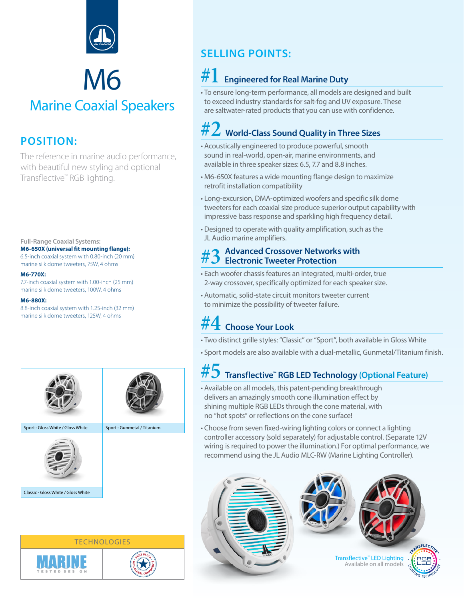

### M6 Marine Coaxial Speakers

#### **POSITION:**

The reference in marine audio performance, with beautiful new styling and optional Transflective™ RGB lighting.

**Full-Range Coaxial Systems: M6-650X (universal fit mounting flange):** 6.5-inch coaxial system with 0.80-inch (20 mm)

marine silk dome tweeters, 75W, 4 ohms

#### **M6-770X:**

7.7-inch coaxial system with 1.00-inch (25 mm) marine silk dome tweeters, 100W, 4 ohms

#### **M6-880X:**

8.8-inch coaxial system with 1.25-inch (32 mm) marine silk dome tweeters, 125W, 4 ohms



Classic - Gloss White / Gloss White

# **TECHNOLOGIES**



#### **SELLING POINTS:**

#### **#1 Engineered for Real Marine Duty**

• To ensure long-term performance, all models are designed and built to exceed industry standards for salt-fog and UV exposure. These are saltwater-rated products that you can use with confidence.

#### **#2 World-Class Sound Quality in Three Sizes**

- Acoustically engineered to produce powerful, smooth sound in real-world, open-air, marine environments, and available in three speaker sizes: 6.5, 7.7 and 8.8 inches.
- M6-650X features a wide mounting flange design to maximize retrofit installation compatibility
- Long-excursion, DMA-optimized woofers and specific silk dome tweeters for each coaxial size produce superior output capability with impressive bass response and sparkling high frequency detail.
- Designed to operate with quality amplification, such as the JL Audio marine amplifiers.

## **#3 Advanced Crossover Networks with Electronic Tweeter Protection**

- Each woofer chassis features an integrated, multi-order, true 2-way crossover, specifically optimized for each speaker size.
- Automatic, solid-state circuit monitors tweeter current to minimize the possibility of tweeter failure.

#### **#4 Choose Your Look**

- Two distinct grille styles: "Classic" or "Sport", both available in Gloss White
- Sport models are also available with a dual-metallic, Gunmetal/Titanium finish.

#### **#5 Transflective™ RGB LED Technology (Optional Feature)**

- Available on all models, this patent-pending breakthrough delivers an amazingly smooth cone illumination effect by shining multiple RGB LEDs through the cone material, with no "hot spots" or reflections on the cone surface!
- Choose from seven fixed-wiring lighting colors or connect a lighting controller accessory (sold separately) for adjustable control. (Separate 12V wiring is required to power the illumination.) For optimal performance, we recommend using the JL Audio MLC-RW (Marine Lighting Controller).

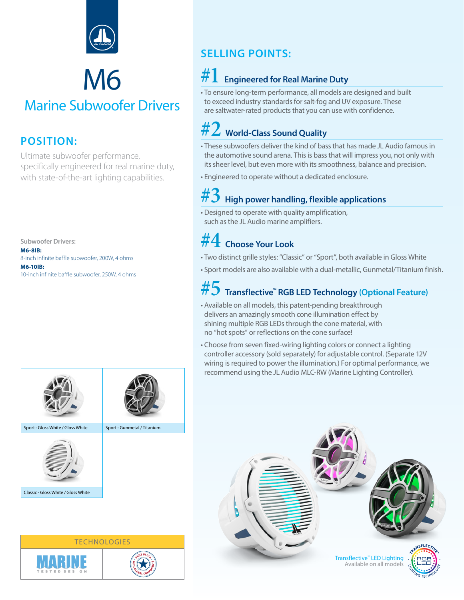

## M6

#### Marine Subwoofer Drivers

#### **POSITION:**

Ultimate subwoofer performance, specifically engineered for real marine duty, with state-of-the-art lighting capabilities.

**Subwoofer Drivers: M6-8IB:** 8-inch infinite baffle subwoofer, 200W, 4 ohms **M6-10IB:** 10-inch infinite baffle subwoofer, 250W, 4 ohms

#### **SELLING POINTS:**

#### **#1 Engineered for Real Marine Duty**

• To ensure long-term performance, all models are designed and built to exceed industry standards for salt-fog and UV exposure. These are saltwater-rated products that you can use with confidence.

#### **#2 World-Class Sound Quality**

- These subwoofers deliver the kind of bass that has made JL Audio famous in the automotive sound arena. This is bass that will impress you, not only with its sheer level, but even more with its smoothness, balance and precision.
- Engineered to operate without a dedicated enclosure.

#### **#3 High power handling, flexible applications**

• Designed to operate with quality amplification, such as the JL Audio marine amplifiers.

#### **#4 Choose Your Look**

- Two distinct grille styles: "Classic" or "Sport", both available in Gloss White
- Sport models are also available with a dual-metallic, Gunmetal/Titanium finish.

#### **#5 Transflective™ RGB LED Technology (Optional Feature)**

- Available on all models, this patent-pending breakthrough delivers an amazingly smooth cone illumination effect by shining multiple RGB LEDs through the cone material, with no "hot spots" or reflections on the cone surface!
- Choose from seven fixed-wiring lighting colors or connect a lighting controller accessory (sold separately) for adjustable control. (Separate 12V wiring is required to power the illumination.) For optimal performance, we recommend using the JL Audio MLC-RW (Marine Lighting Controller).



Classic - Gloss White / Gloss White



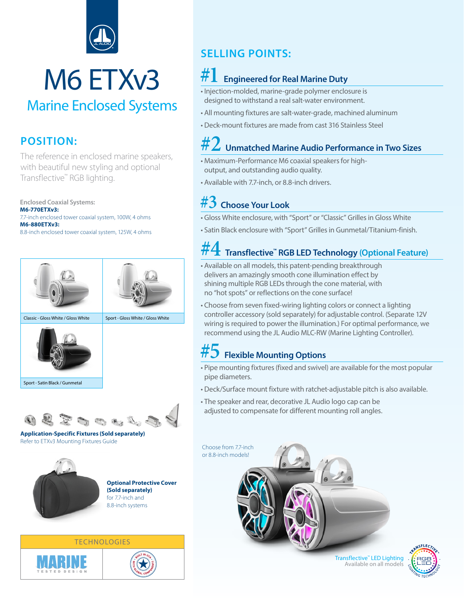

## M6 ETXv3

#### Marine Enclosed Systems

#### **POSITION:**

The reference in enclosed marine speakers, with beautiful new styling and optional Transflective™ RGB lighting.

**Enclosed Coaxial Systems: M6-770ETXv3:** 7.7-inch enclosed tower coaxial system, 100W, 4 ohms **M6-880ETXv3:** 8.8-inch enclosed tower coaxial system, 125W, 4 ohms





**Application-Specific Fixtures (Sold separately)** Refer to ETXv3 Mounting Fixtures Guide



**Optional Protective Cover (Sold separately)** for 7.7-inch and 8.8-inch systems

**SELLING POINTS:**

#### **#1 Engineered for Real Marine Duty**

- Injection-molded, marine-grade polymer enclosure is designed to withstand a real salt-water environment.
- All mounting fixtures are salt-water-grade, machined aluminum
- Deck-mount fixtures are made from cast 316 Stainless Steel

#### **#2 Unmatched Marine Audio Performance in Two Sizes**

- Maximum-Performance M6 coaxial speakers for highoutput, and outstanding audio quality.
- Available with 7.7-inch, or 8.8-inch drivers.

#### **#3 Choose Your Look**

- Gloss White enclosure, with "Sport" or "Classic" Grilles in Gloss White
- Satin Black enclosure with "Sport" Grilles in Gunmetal/Titanium-finish.

#### **#4 Transflective™ RGB LED Technology (Optional Feature)**

- Available on all models, this patent-pending breakthrough delivers an amazingly smooth cone illumination effect by shining multiple RGB LEDs through the cone material, with no "hot spots" or reflections on the cone surface!
- Choose from seven fixed-wiring lighting colors or connect a lighting controller accessory (sold separately) for adjustable control. (Separate 12V wiring is required to power the illumination.) For optimal performance, we recommend using the JL Audio MLC-RW (Marine Lighting Controller).

#### **#5 Flexible Mounting Options**

- Pipe mounting fixtures (fixed and swivel) are available for the most popular pipe diameters.
- Deck/Surface mount fixture with ratchet-adjustable pitch is also available.
- The speaker and rear, decorative JL Audio logo cap can be adjusted to compensate for different mounting roll angles.





**TECHNOLOGIES**